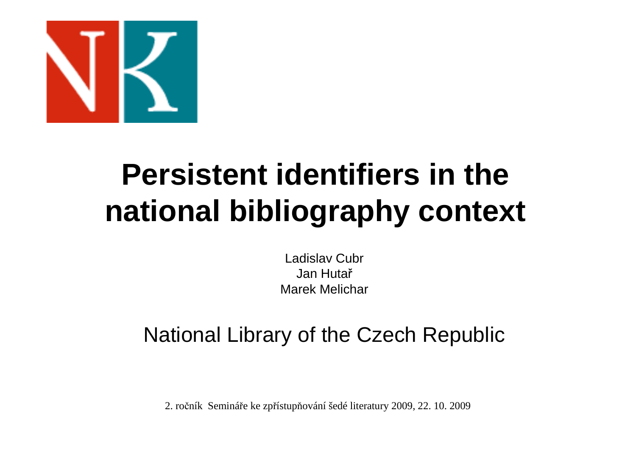

### **Persistent identifiers in the national bibliography context**

Ladislav CubrJan HutařMarek Melichar

#### National Library of the Czech Republic

2. ročník Semináře ke zpřístupňování šedé literatury 2009, 22. 10. 2009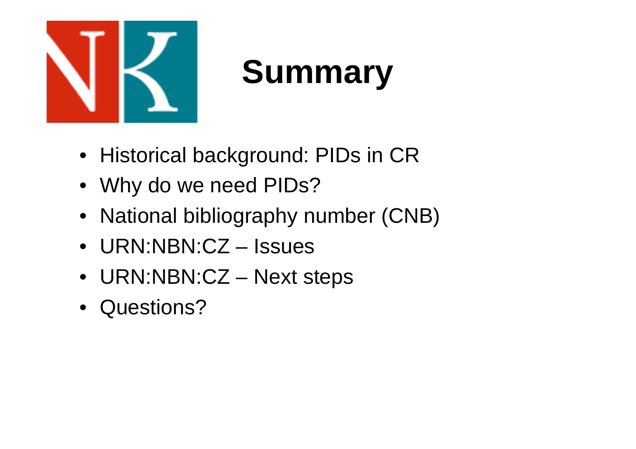

### **Summary**

- Historical background: PIDs in CR
- Why do we need PIDs?
- National bibliography number (CNB)
- URN:NBN:CZ Issues
- URN:NBN:CZ Next steps
- Questions?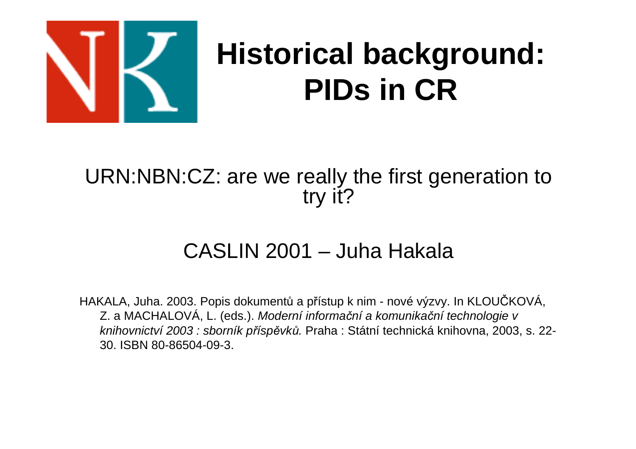

### **Historical background: PIDs in CR**

#### URN:NBN:CZ: are we really the first generation to try it?

#### CASLIN 2001 – Juha Hakala

HAKALA, Juha. 2003. Popis dokumentů a p řístup k nim - nové výzvy. In KLOUČKOVÁ, Z. a MACHALOVÁ, L. (eds.). Moderní informační a komunikační technologie v knihovnictví 2003 : sborník příspěvků. Praha : Státní technická knihovna, 2003, s. 22-30. ISBN 80-86504-09-3.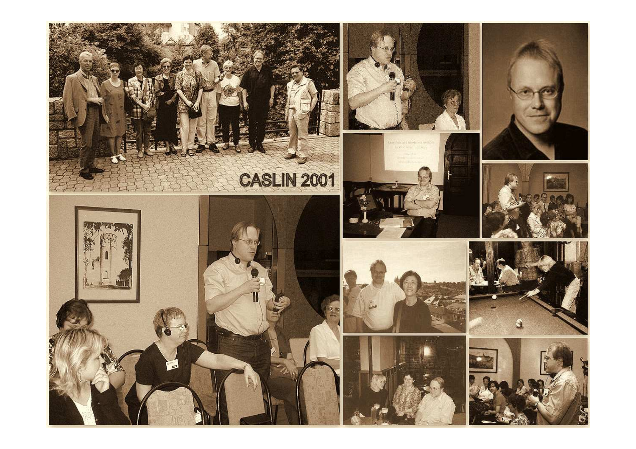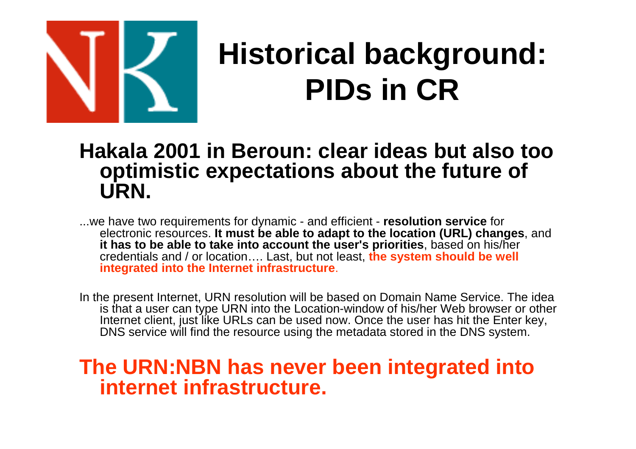

### **Historical background: PIDs in CR**

#### **Hakala 2001 in Beroun: clear ideas but also too optimistic expectations about the future of URN.**

...we have two requirements for dynamic - and efficient - **resolution service** for electronic resources. **It must be able to adapt to the location (URL) changes**, and **it has to be able to take into account the user's priorities**, based on his/her credentials and / or location…. Last, but not least, **the system should be well integrated into the Internet infrastructure**.

In the present Internet, URN resolution will be based on Domain Name Service. The idea is that a user can type URN into the Location-window of his/her Web browser or other Internet client, just like URLs can be used now. Once the user has hit the Enter key, DNS service will find the resource using the metadata stored in the DNS system.

#### **The URN:NBN has never been integrated into internet infrastructure.**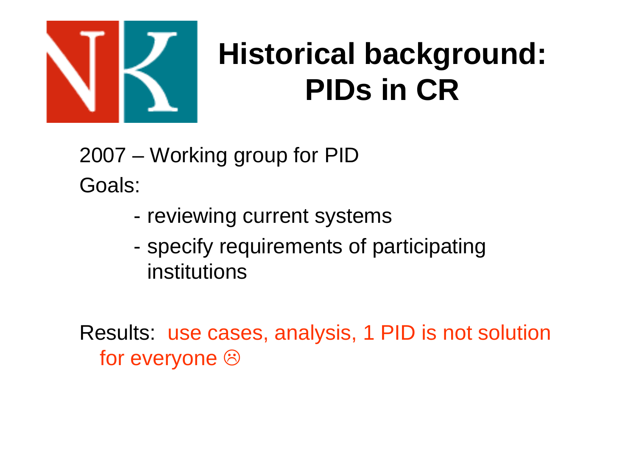

### **Historical background: PIDs in CR**

2007 – Working group for PIDGoals:

- reviewing current systems
- specify requirements of participating institutions

Results: use cases, analysis, 1 PID is not solution for everyone  $\circledcirc$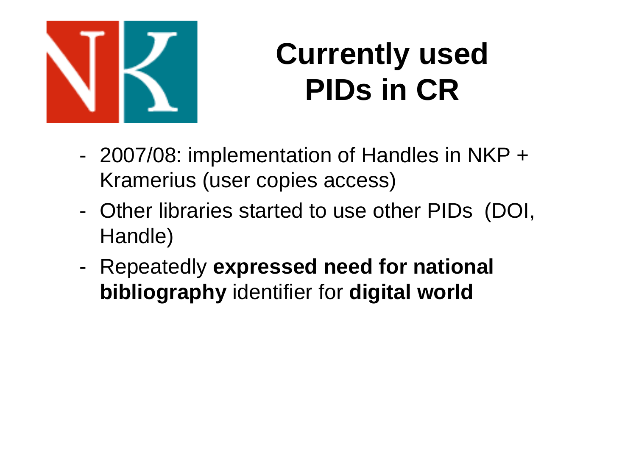

### **Currently used PIDs in CR**

- 2007/08: implementation of Handles in NKP <sup>+</sup> Kramerius (user copies access)
- Other libraries started to use other PIDs (DOI, Handle)
- - Repeatedly **expressed need for national bibliography** identifier for **digital world**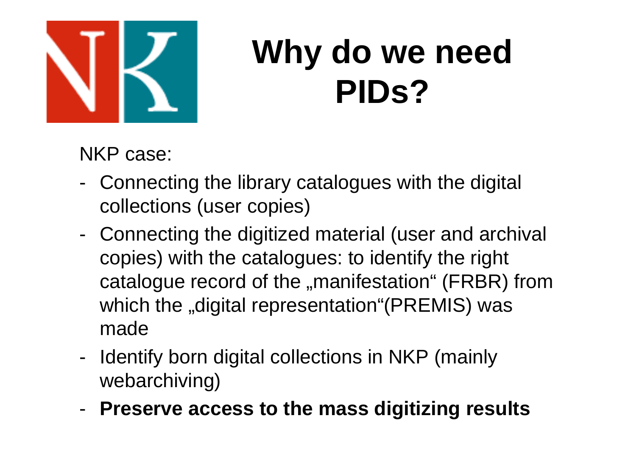

## **Why do we need PIDs?**

NKP case:

- Connecting the library catalogues with the digital collections (user copies)
- Connecting the digitized material (user and archival copies) with the catalogues: to identify the right catalogue record of the "manifestation" (FRBR) from which the "digital representation"(PREMIS) was made
- Identify born digital collections in NKP (mainly webarchiving)
- **Preserve access to the mass digitizing results**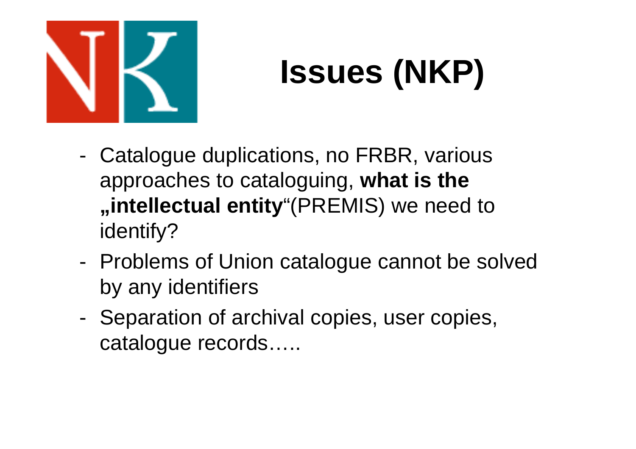

# **Issues (NKP)**

- Catalogue duplications, no FRBR, various approaches to cataloguing, **what is the "intellectual entity**"(PREMIS) we need to identify?
- - Problems of Union catalogue cannot be solvedby any identifiers
- Separation of archival copies, user copies, catalogue records…..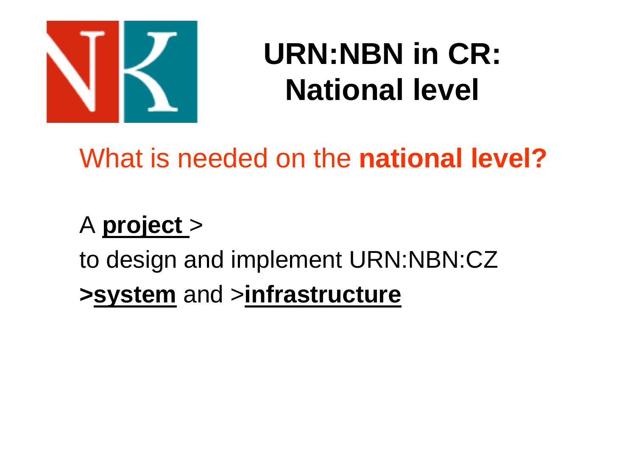

### **URN:NBN in CR: National level**

### What is needed on the **national level?**

### A **project**>

to design and implement URN:NBN:CZ**>system** and <sup>&</sup>gt;**infrastructure**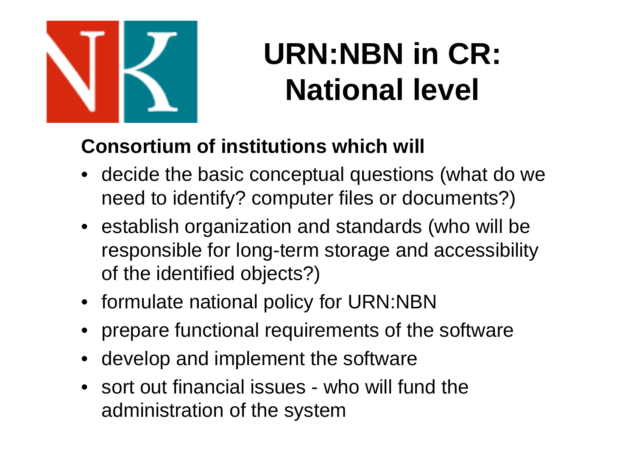

## **URN:NBN in CR: National level**

#### **Consortium of institutions which will**

- decide the basic conceptual questions (what do we need to identify? computer files or documents?)
- establish organization and standards (who will be responsible for long-term storage and accessibilityof the identified objects?)
- formulate national policy for URN:NBN
- prepare functional requirements of the software
- •develop and implement the software
- sort out financial issues who will fund the administration of the system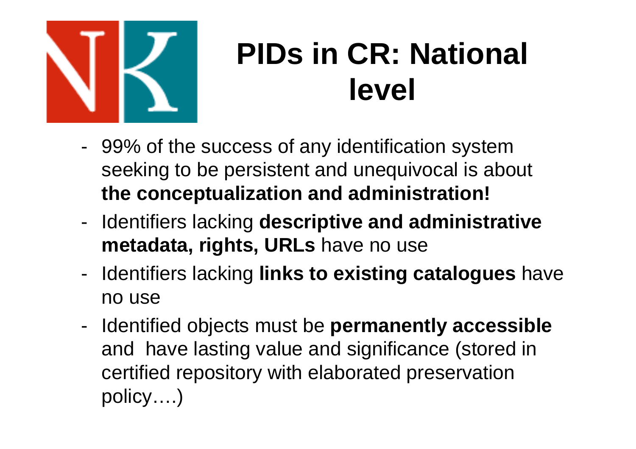

### **PIDs in CR: National level**

- - 99% of the success of any identification systemseeking to be persistent and unequivocal is about **the conceptualization and administration!**
- - Identifiers lacking **descriptive and administrativemetadata, rights, URLs** have no use
- - Identifiers lacking **links to existing catalogues** have no use
- - Identified objects must be **permanently accessible**and have lasting value and significance (stored in certified repository with elaborated preservation policy….)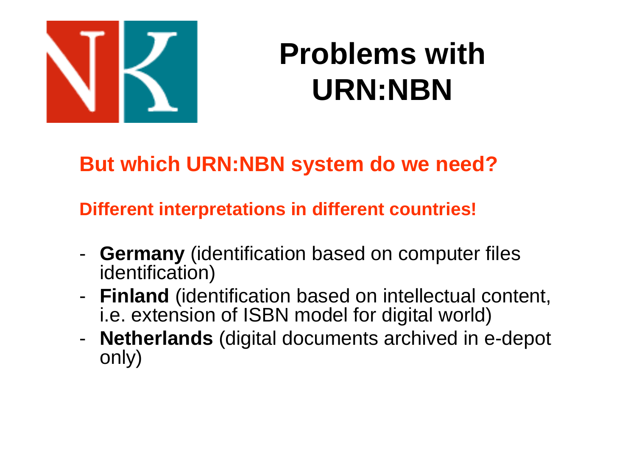

### **Problems with URN:NBN**

#### **But which URN:NBN system do we need?**

#### **Different interpretations in different countries!**

- -**Germany** (identification based on computer files identification)
- **Finland** (identification based on intellectual content, i.e. extension of ISBN model for digital world)
- -- **Netherlands** (digital documents archived in e-depot only)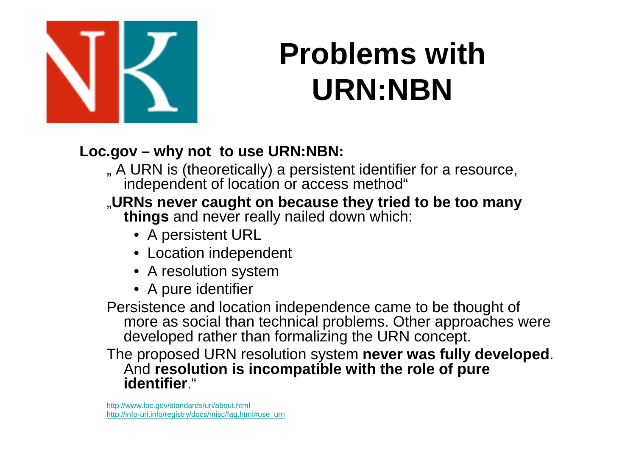

### **Problems with URN:NBN**

#### **Loc.gov – why not to use URN:NBN:**

" A URN is (theoretically) a persistent identifier for a resource, independent of location or access method"

#### "**URNs never caught on because they tried to be too many**

**things** and never really nailed down which:

- A persistent URL
- Location independent
- A resolution system
- A pure identifier

 Persistence and location independence came to be thought of more as social than technical problems. Other approaches were developed rather than formalizing the URN concept.

The proposed URN resolution system **never was fully developed**. And **resolution is incompatible with the role of pure identifier**."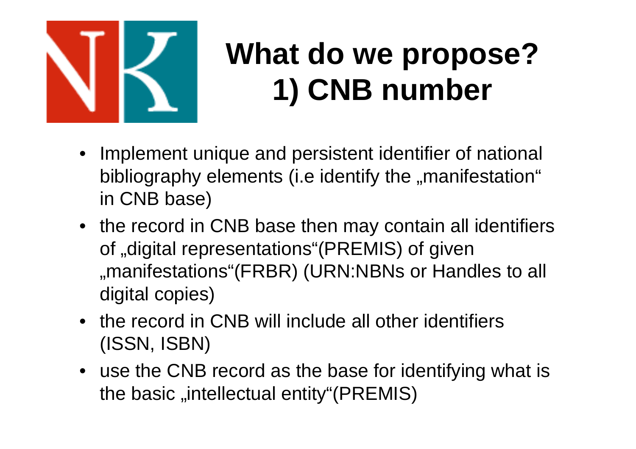

## **What do we propose?1) CNB number**

- $\bullet$  Implement unique and persistent identifier of national bibliography elements (i.e identify the "manifestation" in CNB base)
- the record in CNB base then may contain all identifiers of "digital representations"(PREMIS) of given "manifestations"(FRBR) (URN:NBNs or Handles to all digital copies)
- the record in CNB will include all other identifiers (ISSN, ISBN)
- use the CNB record as the base for identifying what is the basic "intellectual entity"(PREMIS)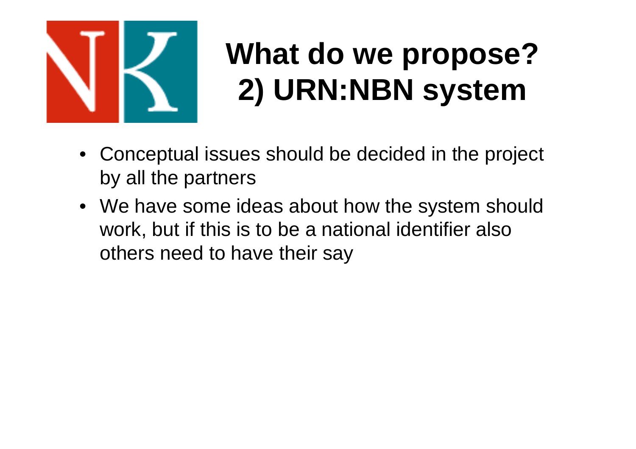

## **What do we propose?2) URN:NBN system**

- Conceptual issues should be decided in the project by all the partners
- We have some ideas about how the system should work, but if this is to be a national identifier also others need to have their say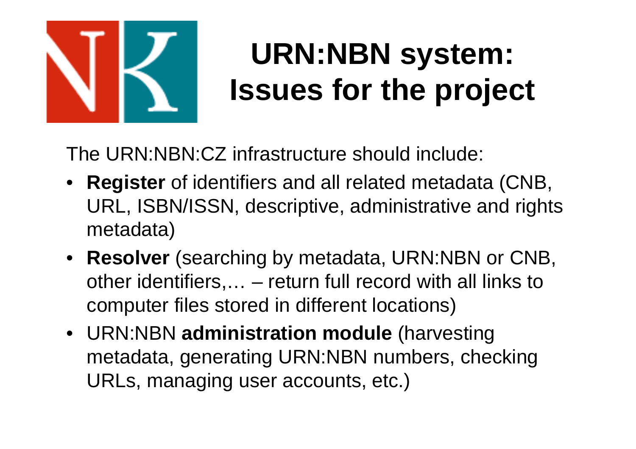

## **URN:NBN system: Issues for the project**

The URN:NBN:CZ infrastructure should include:

- **Register** of identifiers and all related metadata (CNB, URL, ISBN/ISSN, descriptive, administrative and rights metadata)
- **Resolver** (searching by metadata, URN:NBN or CNB, other identifiers,… – return full record with all links to computer files stored in different locations)
- URN:NBN **administration module** (harvesting metadata, generating URN:NBN numbers, checking URLs, managing user accounts, etc.)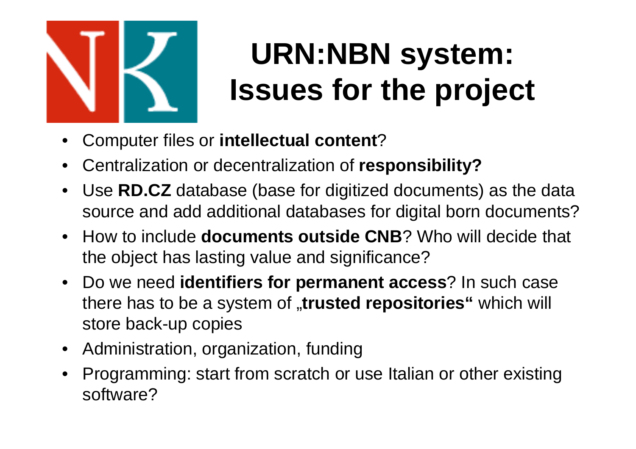

## **URN:NBN system: Issues for the project**

- •Computer files or **intellectual content**?
- $\bullet$ Centralization or decentralization of **responsibility?**
- Use **RD.CZ** database (base for digitized documents) as the data  $\bullet$ source and add additional databases for digital born documents?
- How to include **documents outside CNB**? Who will decide that the object has lasting value and significance?
- Do we need **identifiers for permanent access**? In such case there has to be a system of "**trusted repositories"** which will store back-up copies
- Administration, organization, funding
- $\bullet$  Programming: start from scratch or use Italian or other existingsoftware?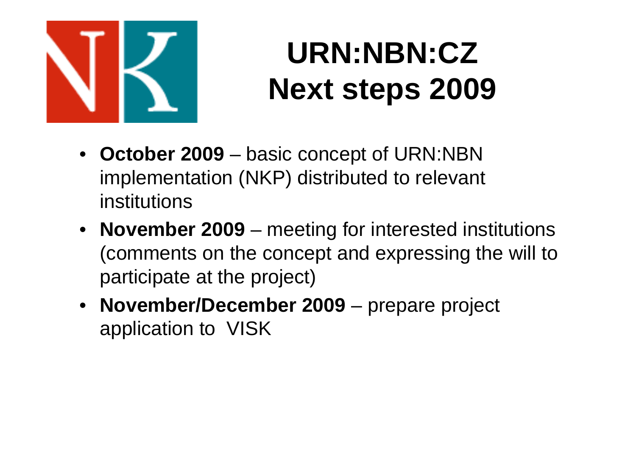

### **URN:NBN:CZ Next steps 2009**

- **October 2009** basic concept of URN:NBN implementation (NKP) distributed to relevant institutions
- **November 2009** meeting for interested institutions (comments on the concept and expressing the will toparticipate at the project)
- **November/December 2009** prepare project application to VISK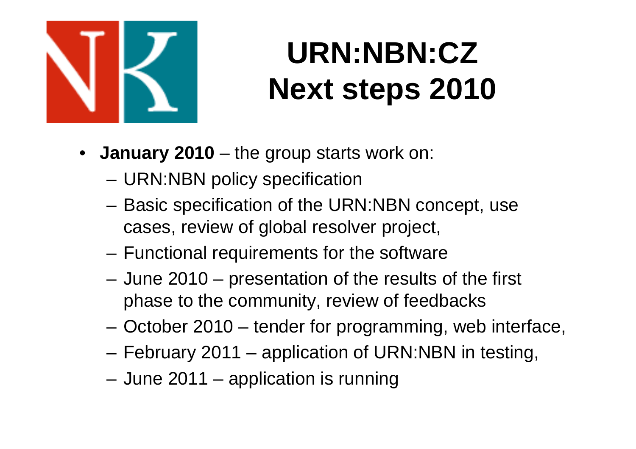

## **URN:NBN:CZ Next steps 2010**

- **January 2010** the group starts work on:
	- URN:NBN policy specification
	- Basic specification of the URN:NBN concept, use cases, review of global resolver project,
	- Functional requirements for the software
	- June 2010 presentation of the results of the first phase to the community, review of feedbacks
	- –October 2010 – tender for programming, web interface,
	- –February 2011 – application of URN:NBN in testing,
	- June 2011 application is running